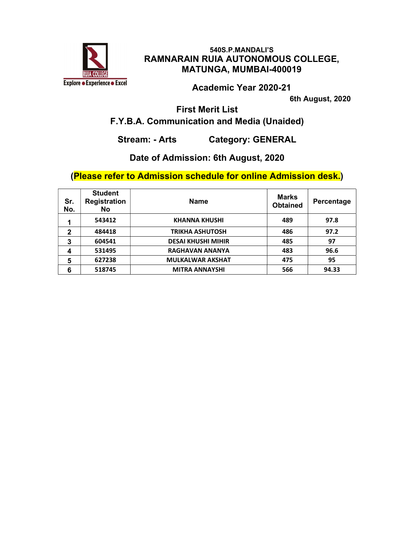

Academic Year 2020-21

6th August, 2020

First Merit List

# F.Y.B.A. Communication and Media (Unaided)

Stream: - Arts Category: GENERAL

## Date of Admission: 6th August, 2020

| Sr.<br>No.   | <b>Student</b><br><b>Registration</b><br><b>No</b> | <b>Name</b>               | <b>Marks</b><br><b>Obtained</b> | Percentage |
|--------------|----------------------------------------------------|---------------------------|---------------------------------|------------|
| 1            | 543412                                             | <b>KHANNA KHUSHI</b>      | 489                             | 97.8       |
| $\mathbf{2}$ | 484418                                             | TRIKHA ASHUTOSH           | 486                             | 97.2       |
| 3            | 604541                                             | <b>DESAI KHUSHI MIHIR</b> | 485                             | 97         |
| 4            | 531495                                             | <b>RAGHAVAN ANANYA</b>    | 483                             | 96.6       |
| 5            | 627238                                             | <b>MULKALWAR AKSHAT</b>   | 475                             | 95         |
| 6            | 518745                                             | <b>MITRA ANNAYSHI</b>     | 566                             | 94.33      |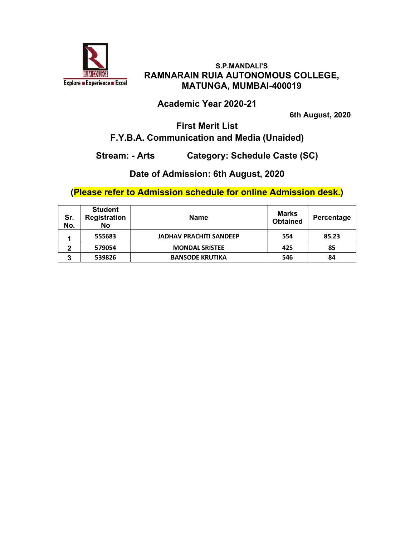

#### Academic Year 2020-21

6th August, 2020

#### First Merit List F.Y.B.A. Communication and Media (Unaided)

## Stream: - Arts Category: Schedule Caste (SC)

#### Date of Admission: 6th August, 2020

| Sr.<br>No. | <b>Student</b><br>Registration<br>No | <b>Name</b>                    | Marks<br><b>Obtained</b> | Percentage |
|------------|--------------------------------------|--------------------------------|--------------------------|------------|
| ٠          | 555683                               | <b>JADHAV PRACHITI SANDEEP</b> | 554                      | 85.23      |
| 2          | 579054                               | <b>MONDAL SRISTEE</b>          | 425                      | 85         |
| 3          | 539826                               | <b>BANSODE KRUTIKA</b>         | 546                      | 84         |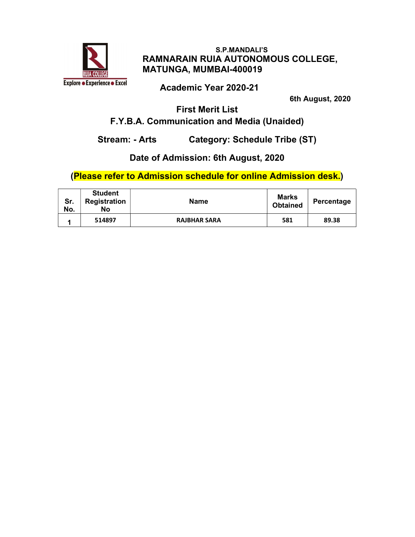

## Academic Year 2020-21

6th August, 2020

# First Merit List

# F.Y.B.A. Communication and Media (Unaided)

Stream: - Arts Category: Schedule Tribe (ST)

# Date of Admission: 6th August, 2020

| Sr.<br>No. | <b>Student</b><br>Registration<br>No | <b>Name</b>         | <b>Marks</b><br><b>Obtained</b> | Percentage |
|------------|--------------------------------------|---------------------|---------------------------------|------------|
|            | 514897                               | <b>RAJBHAR SARA</b> | 581                             | 89.38      |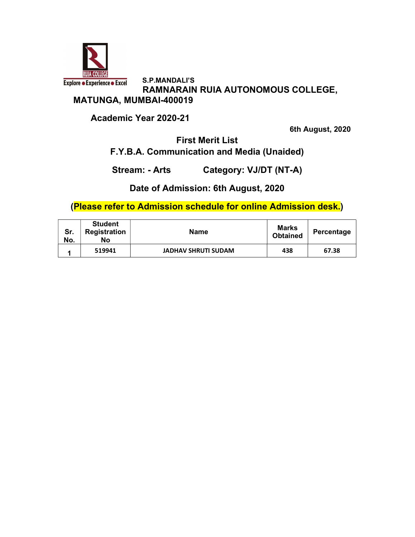

 S.P.MANDALI'S **Explore · Experience · Excel**  RAMNARAIN RUIA AUTONOMOUS COLLEGE, MATUNGA, MUMBAI-400019

Academic Year 2020-21

6th August, 2020

First Merit List F.Y.B.A. Communication and Media (Unaided)

Stream: - Arts Category: VJ/DT (NT-A)

Date of Admission: 6th August, 2020

| Sr.<br>No. | <b>Student</b><br><b>Registration</b><br>No | <b>Name</b>                | Marks<br><b>Obtained</b> | Percentage |
|------------|---------------------------------------------|----------------------------|--------------------------|------------|
|            | 519941                                      | <b>JADHAV SHRUTI SUDAM</b> | 438                      | 67.38      |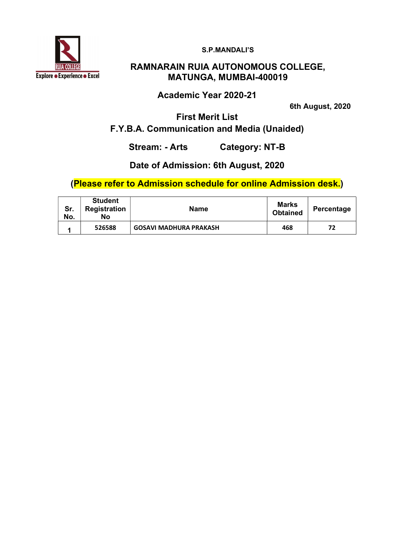

S.P.MANDALI'S

## RAMNARAIN RUIA AUTONOMOUS COLLEGE, MATUNGA, MUMBAI-400019

Academic Year 2020-21

6th August, 2020

First Merit List F.Y.B.A. Communication and Media (Unaided)

Stream: - Arts Category: NT-B

## Date of Admission: 6th August, 2020

| Sr.<br>No. | <b>Student</b><br>Registration<br>No | <b>Name</b>                   | Marks<br><b>Obtained</b> | Percentage |
|------------|--------------------------------------|-------------------------------|--------------------------|------------|
|            | 526588                               | <b>GOSAVI MADHURA PRAKASH</b> | 468                      | 77         |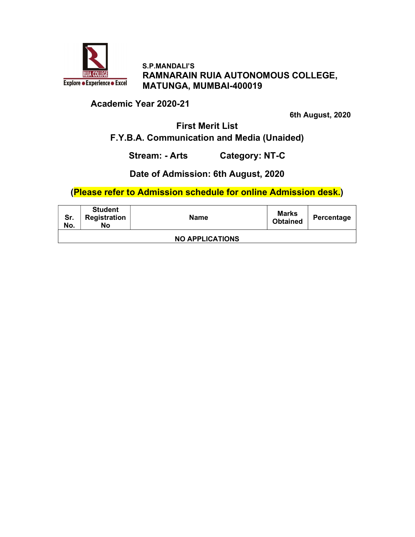

#### Academic Year 2020-21

6th August, 2020

#### First Merit List F.Y.B.A. Communication and Media (Unaided)

Stream: - Arts Category: NT-C

#### Date of Admission: 6th August, 2020

| Sr.<br>No.             | <b>Student</b><br>Registration<br>No | <b>Name</b> | Marks<br><b>Obtained</b> | Percentage |  |
|------------------------|--------------------------------------|-------------|--------------------------|------------|--|
| <b>NO APPLICATIONS</b> |                                      |             |                          |            |  |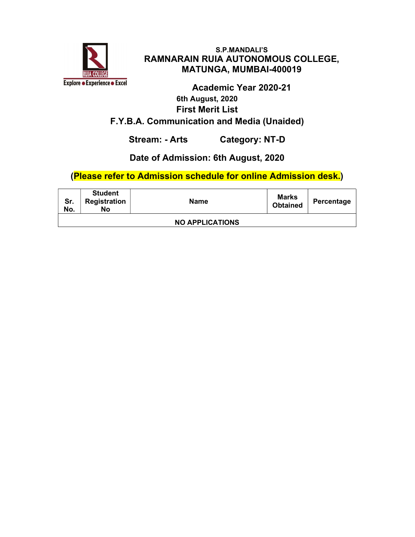

# Academic Year 2020-21 6th August, 2020 First Merit List F.Y.B.A. Communication and Media (Unaided)

Stream: - Arts Category: NT-D

## Date of Admission: 6th August, 2020

| Sr.<br>No.             | <b>Student</b><br>Registration<br>No | <b>Name</b> | Marks<br><b>Obtained</b> | Percentage |  |
|------------------------|--------------------------------------|-------------|--------------------------|------------|--|
| <b>NO APPLICATIONS</b> |                                      |             |                          |            |  |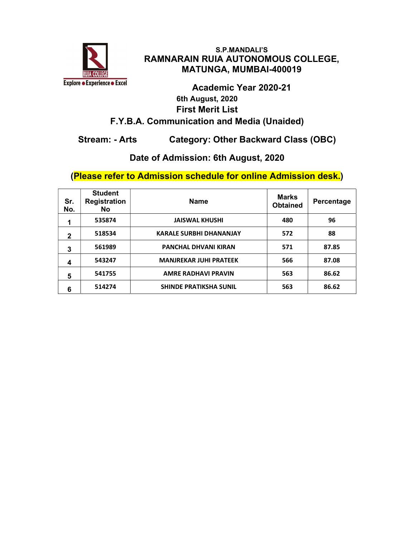

# Academic Year 2020-21 6th August, 2020 First Merit List F.Y.B.A. Communication and Media (Unaided)

# Stream: - Arts Category: Other Backward Class (OBC)

#### Date of Admission: 6th August, 2020

| Sr.<br>No.   | <b>Student</b><br><b>Registration</b><br>No. | <b>Name</b>                    | <b>Marks</b><br><b>Obtained</b> | Percentage |
|--------------|----------------------------------------------|--------------------------------|---------------------------------|------------|
| 1            | 535874                                       | <b>JAISWAL KHUSHI</b>          | 480                             | 96         |
| $\mathbf{2}$ | 518534                                       | <b>KARALE SURBHI DHANANJAY</b> | 572                             | 88         |
| 3            | 561989                                       | <b>PANCHAL DHVANI KIRAN</b>    | 571                             | 87.85      |
| 4            | 543247                                       | <b>MANJREKAR JUHI PRATEEK</b>  | 566                             | 87.08      |
| 5            | 541755                                       | <b>AMRE RADHAVI PRAVIN</b>     | 563                             | 86.62      |
| 6            | 514274                                       | <b>SHINDE PRATIKSHA SUNIL</b>  | 563                             | 86.62      |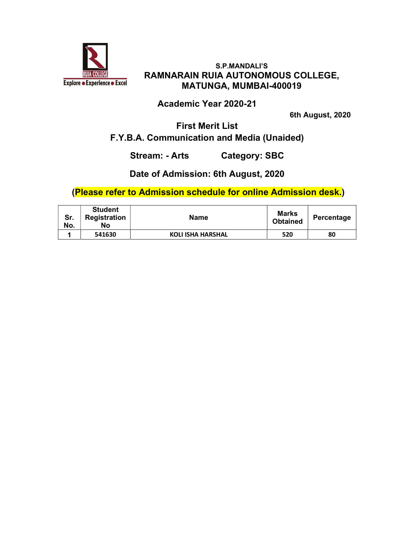

#### Academic Year 2020-21

6th August, 2020

#### First Merit List F.Y.B.A. Communication and Media (Unaided)

Stream: - Arts Category: SBC

#### Date of Admission: 6th August, 2020

| Sr.<br>No. | <b>Student</b><br>Registration<br>No | <b>Name</b>              | <b>Marks</b><br><b>Obtained</b> | Percentage |
|------------|--------------------------------------|--------------------------|---------------------------------|------------|
|            | 541630                               | <b>KOLI ISHA HARSHAL</b> | 520                             | 80         |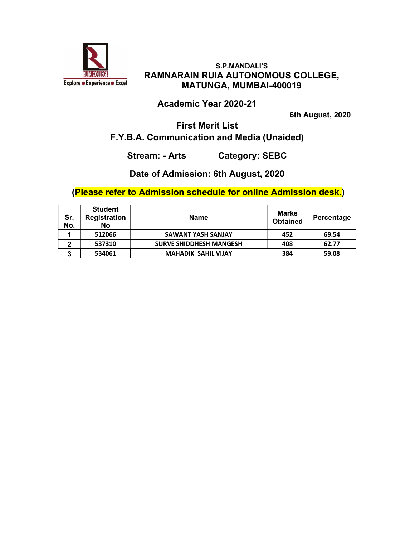

#### Academic Year 2020-21

6th August, 2020

## First Merit List F.Y.B.A. Communication and Media (Unaided)

Stream: - Arts Category: SEBC

#### Date of Admission: 6th August, 2020

| Sr.<br>No. | <b>Student</b><br>Registration<br>No | <b>Name</b>                    | Marks<br><b>Obtained</b> | Percentage |
|------------|--------------------------------------|--------------------------------|--------------------------|------------|
|            | 512066                               | <b>SAWANT YASH SANJAY</b>      | 452                      | 69.54      |
| 2          | 537310                               | <b>SURVE SHIDDHESH MANGESH</b> | 408                      | 62.77      |
| 3          | 534061                               | <b>MAHADIK SAHIL VIJAY</b>     | 384                      | 59.08      |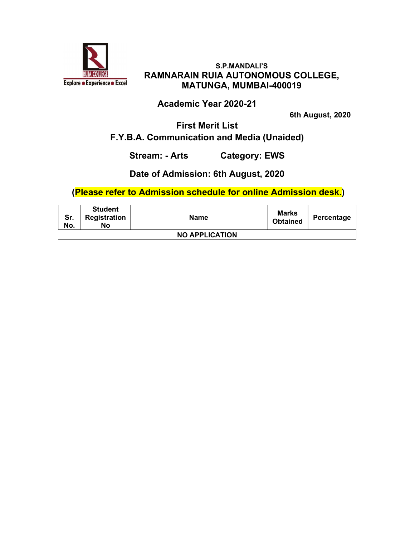

## Academic Year 2020-21

6th August, 2020

#### First Merit List F.Y.B.A. Communication and Media (Unaided)

Stream: - Arts Category: EWS

#### Date of Admission: 6th August, 2020

| Sr.<br>No.            | <b>Student</b><br>Registration<br>No | <b>Name</b> | <b>Marks</b><br><b>Obtained</b> | Percentage |  |
|-----------------------|--------------------------------------|-------------|---------------------------------|------------|--|
| <b>NO APPLICATION</b> |                                      |             |                                 |            |  |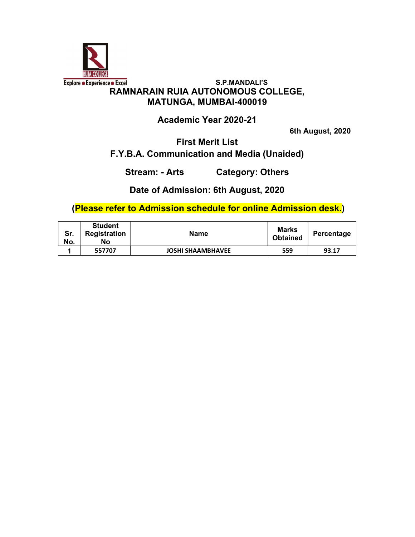

Academic Year 2020-21

6th August, 2020

First Merit List

F.Y.B.A. Communication and Media (Unaided)

Stream: - Arts Category: Others

Date of Admission: 6th August, 2020

| Sr.<br>No. | <b>Student</b><br>Registration<br>No | <b>Name</b>              | <b>Marks</b><br><b>Obtained</b> | Percentage |
|------------|--------------------------------------|--------------------------|---------------------------------|------------|
|            | 557707                               | <b>JOSHI SHAAMBHAVEE</b> | 559                             | 93.17      |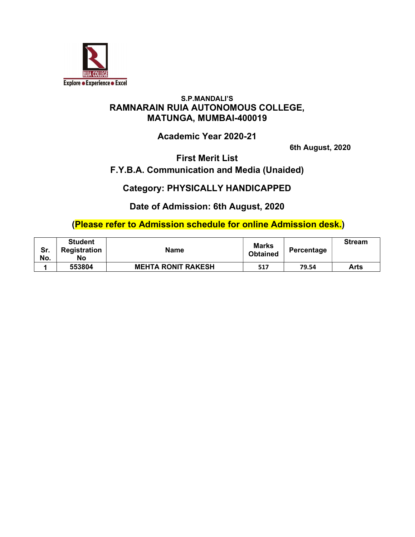

## Academic Year 2020-21

6th August, 2020

First Merit List

# F.Y.B.A. Communication and Media (Unaided)

Category: PHYSICALLY HANDICAPPED

Date of Admission: 6th August, 2020

| Sr.<br>No. | <b>Student</b><br>Registration<br>No | <b>Name</b>               | <b>Marks</b><br><b>Obtained</b> | Percentage | <b>Stream</b> |
|------------|--------------------------------------|---------------------------|---------------------------------|------------|---------------|
|            | 553804                               | <b>MEHTA RONIT RAKESH</b> | 517                             | 79.54      | Arts          |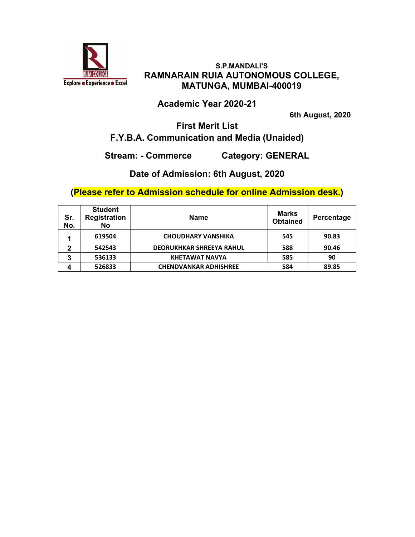

#### Academic Year 2020-21

6th August, 2020

#### First Merit List F.Y.B.A. Communication and Media (Unaided)

Stream: - Commerce Category: GENERAL

## Date of Admission: 6th August, 2020

| Sr.<br>No. | <b>Student</b><br><b>Registration</b><br>No | <b>Name</b>                     | <b>Marks</b><br><b>Obtained</b> | Percentage |
|------------|---------------------------------------------|---------------------------------|---------------------------------|------------|
| и          | 619504                                      | <b>CHOUDHARY VANSHIKA</b>       | 545                             | 90.83      |
| 2          | 542543                                      | <b>DEORUKHKAR SHREEYA RAHUL</b> | 588                             | 90.46      |
| 3          | 536133                                      | <b>KHETAWAT NAVYA</b>           | 585                             | 90         |
| 4          | 526833                                      | <b>CHENDVANKAR ADHISHREE</b>    | 584                             | 89.85      |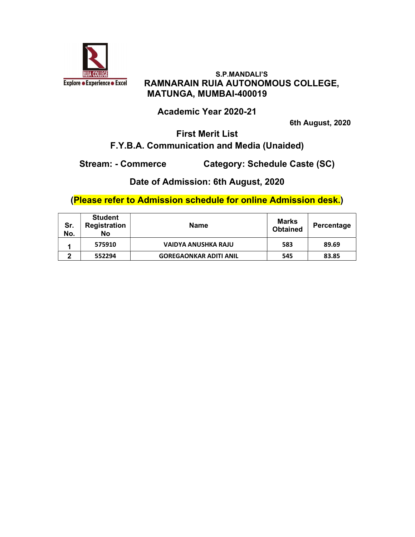

## Academic Year 2020-21

6th August, 2020

## First Merit List F.Y.B.A. Communication and Media (Unaided)

Stream: - Commerce Category: Schedule Caste (SC)

Date of Admission: 6th August, 2020

| Sr.<br>No. | <b>Student</b><br><b>Registration</b><br>No | <b>Name</b>                   | Marks<br><b>Obtained</b> | Percentage |
|------------|---------------------------------------------|-------------------------------|--------------------------|------------|
|            | 575910                                      | <b>VAIDYA ANUSHKA RAJU</b>    | 583                      | 89.69      |
| ົ          | 552294                                      | <b>GOREGAONKAR ADITI ANIL</b> | 545                      | 83.85      |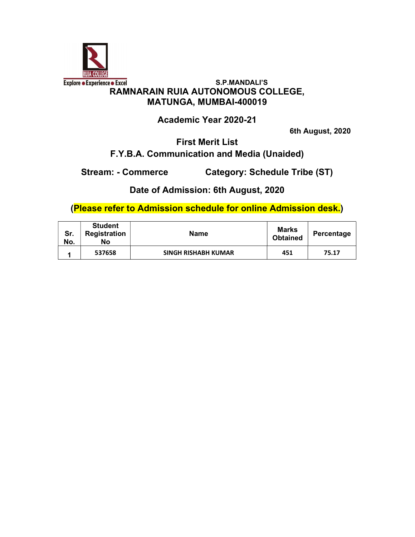

Academic Year 2020-21

6th August, 2020

First Merit List

# F.Y.B.A. Communication and Media (Unaided)

Stream: - Commerce Category: Schedule Tribe (ST)

Date of Admission: 6th August, 2020

| Sr.<br>No. | <b>Student</b><br>Registration<br>No | <b>Name</b>                | Marks<br><b>Obtained</b> | Percentage |
|------------|--------------------------------------|----------------------------|--------------------------|------------|
|            | 537658                               | <b>SINGH RISHABH KUMAR</b> | 451                      | 75.17      |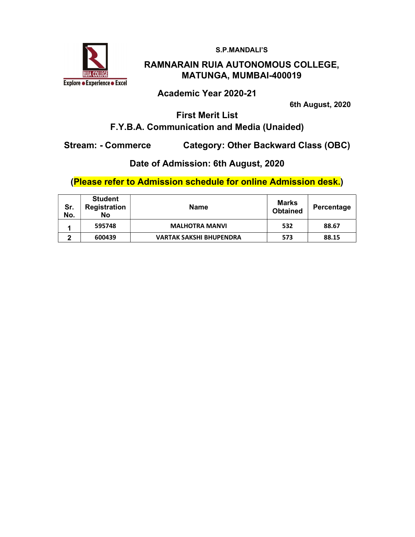

S.P.MANDALI'S

#### RAMNARAIN RUIA AUTONOMOUS COLLEGE, MATUNGA, MUMBAI-400019

#### Academic Year 2020-21

6th August, 2020

## First Merit List F.Y.B.A. Communication and Media (Unaided)

Stream: - Commerce Category: Other Backward Class (OBC)

#### Date of Admission: 6th August, 2020

| Sr.<br>No. | <b>Student</b><br>Registration<br><b>No</b> | <b>Name</b>                    | Marks<br><b>Obtained</b> | Percentage |
|------------|---------------------------------------------|--------------------------------|--------------------------|------------|
|            | 595748                                      | <b>MALHOTRA MANVI</b>          | 532                      | 88.67      |
| ◠          | 600439                                      | <b>VARTAK SAKSHI BHUPENDRA</b> | 573                      | 88.15      |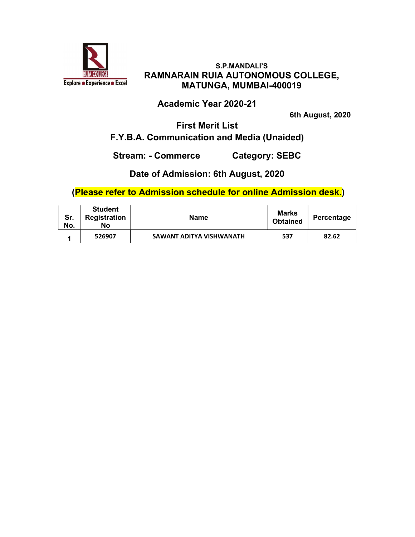

#### Academic Year 2020-21

6th August, 2020

### First Merit List F.Y.B.A. Communication and Media (Unaided)

#### Stream: - Commerce Category: SEBC

## Date of Admission: 6th August, 2020

| Sr.<br>No. | <b>Student</b><br>Registration<br>No | <b>Name</b>              | <b>Marks</b><br><b>Obtained</b> | Percentage |
|------------|--------------------------------------|--------------------------|---------------------------------|------------|
|            | 526907                               | SAWANT ADITYA VISHWANATH | 537                             | 82.62      |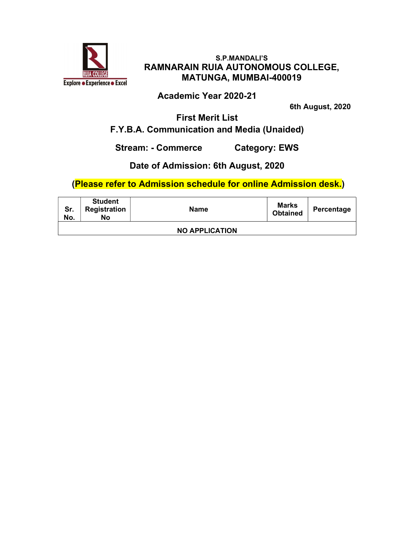

Academic Year 2020-21

6th August, 2020

First Merit List F.Y.B.A. Communication and Media (Unaided)

Stream: - Commerce Category: EWS

# Date of Admission: 6th August, 2020

| Sr.<br>No. | <b>Student</b><br>Registration<br>No | <b>Name</b>           | <b>Marks</b><br><b>Obtained</b> | Percentage |
|------------|--------------------------------------|-----------------------|---------------------------------|------------|
|            |                                      | <b>NO APPLICATION</b> |                                 |            |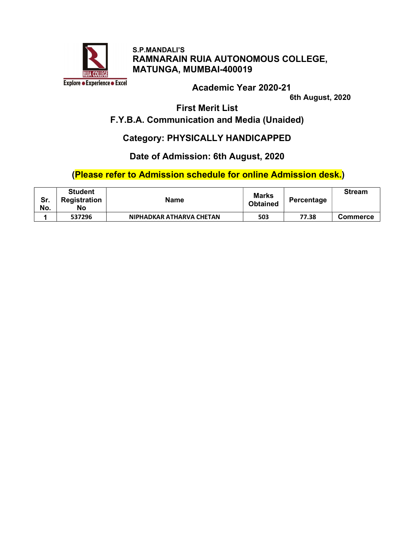

Academic Year 2020-21

6th August, 2020

First Merit List

# F.Y.B.A. Communication and Media (Unaided)

#### Category: PHYSICALLY HANDICAPPED

#### Date of Admission: 6th August, 2020

| Sr.<br>No. | <b>Student</b><br><b>Registration</b><br>No | <b>Name</b>              | <b>Marks</b><br><b>Obtained</b> | Percentage | <b>Stream</b>   |
|------------|---------------------------------------------|--------------------------|---------------------------------|------------|-----------------|
|            | 537296                                      | NIPHADKAR ATHARVA CHETAN | 503                             | 77.38      | <b>Commerce</b> |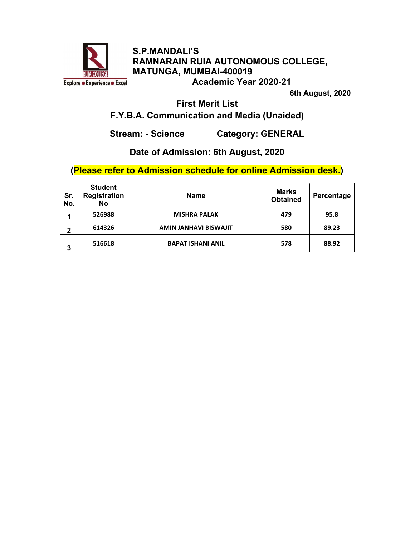

S.P.MANDALI'S RAMNARAIN RUIA AUTONOMOUS COLLEGE, MATUNGA, MUMBAI-400019 Academic Year 2020-21

6th August, 2020

First Merit List

#### F.Y.B.A. Communication and Media (Unaided)

Stream: - Science Category: GENERAL

## Date of Admission: 6th August, 2020

| Sr.<br>No.  | <b>Student</b><br><b>Registration</b><br><b>No</b> | <b>Name</b>                  | Marks<br><b>Obtained</b> | Percentage |
|-------------|----------------------------------------------------|------------------------------|--------------------------|------------|
|             | 526988                                             | <b>MISHRA PALAK</b>          | 479                      | 95.8       |
| $\mathbf 2$ | 614326                                             | <b>AMIN JANHAVI BISWAJIT</b> | 580                      | 89.23      |
| 3           | 516618                                             | <b>BAPAT ISHANI ANIL</b>     | 578                      | 88.92      |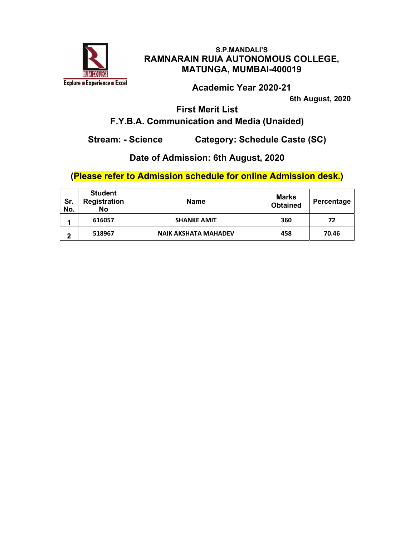

Academic Year 2020-21

6th August, 2020

First Merit List

# F.Y.B.A. Communication and Media (Unaided)

Stream: - Science Category: Schedule Caste (SC)

## Date of Admission: 6th August, 2020

| Sr.<br>No. | <b>Student</b><br>Registration<br>No | <b>Name</b>                 | Marks<br><b>Obtained</b> | Percentage |
|------------|--------------------------------------|-----------------------------|--------------------------|------------|
|            | 616057                               | <b>SHANKE AMIT</b>          | 360                      | 72         |
| 2          | 518967                               | <b>NAIK AKSHATA MAHADEV</b> | 458                      | 70.46      |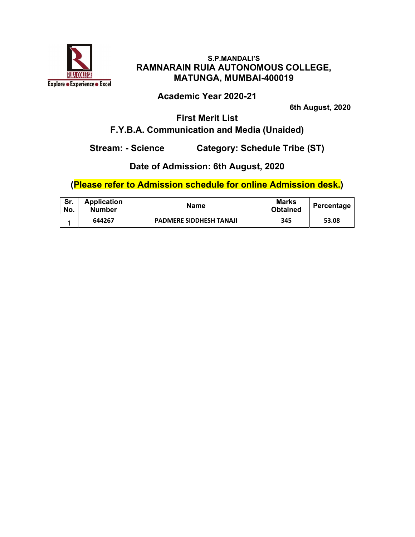

Academic Year 2020-21

6th August, 2020

# First Merit List F.Y.B.A. Communication and Media (Unaided)

Stream: - Science Category: Schedule Tribe (ST)

# Date of Admission: 6th August, 2020

| Sr.<br>No. | <b>Application</b><br><b>Number</b> | Name                           | Marks<br><b>Obtained</b> | Percentage |
|------------|-------------------------------------|--------------------------------|--------------------------|------------|
|            | 644267                              | <b>PADMERE SIDDHESH TANAJI</b> | 345                      | 53.08      |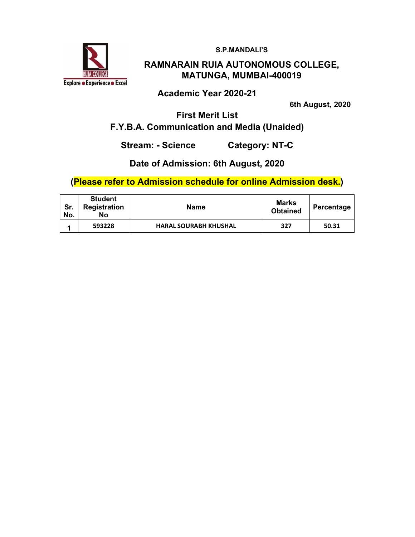S.P.MANDALI'S



#### RAMNARAIN RUIA AUTONOMOUS COLLEGE, MATUNGA, MUMBAI-400019

Academic Year 2020-21

6th August, 2020

First Merit List F.Y.B.A. Communication and Media (Unaided)

Stream: - Science Category: NT-C

#### Date of Admission: 6th August, 2020

| Sr.<br>No. | <b>Student</b><br><b>Registration</b><br>Nο | Name                         | Marks<br><b>Obtained</b> | Percentage |
|------------|---------------------------------------------|------------------------------|--------------------------|------------|
|            | 593228                                      | <b>HARAL SOURABH KHUSHAL</b> | 327                      | 50.31      |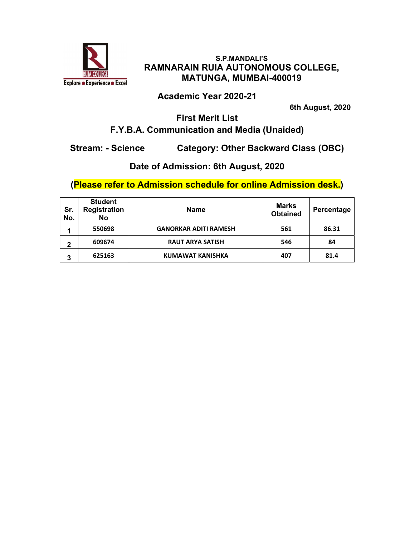

Academic Year 2020-21

6th August, 2020

# First Merit List F.Y.B.A. Communication and Media (Unaided)

Stream: - Science Category: Other Backward Class (OBC)

# Date of Admission: 6th August, 2020

| Sr.<br>No. | <b>Student</b><br><b>Registration</b><br><b>No</b> | <b>Name</b>                  | <b>Marks</b><br><b>Obtained</b> | Percentage |
|------------|----------------------------------------------------|------------------------------|---------------------------------|------------|
|            | 550698                                             | <b>GANORKAR ADITI RAMESH</b> | 561                             | 86.31      |
| 2          | 609674                                             | <b>RAUT ARYA SATISH</b>      | 546                             | 84         |
| 3          | 625163                                             | <b>KUMAWAT KANISHKA</b>      | 407                             | 81.4       |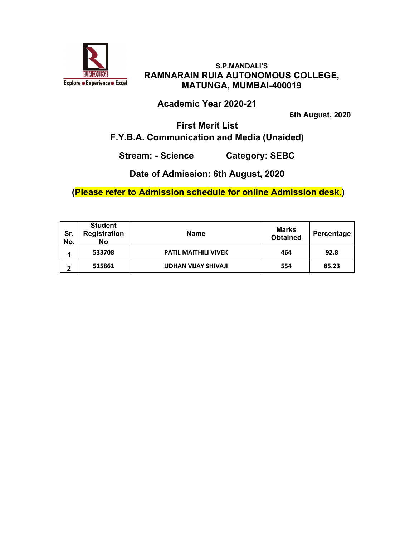

## Academic Year 2020-21

6th August, 2020

#### First Merit List F.Y.B.A. Communication and Media (Unaided)

Stream: - Science Category: SEBC

Date of Admission: 6th August, 2020

| Sr.<br>No. | <b>Student</b><br><b>Registration</b><br><b>No</b> | <b>Name</b>                 | <b>Marks</b><br><b>Obtained</b> | Percentage |
|------------|----------------------------------------------------|-----------------------------|---------------------------------|------------|
|            | 533708                                             | <b>PATIL MAITHILI VIVEK</b> | 464                             | 92.8       |
| 2          | 515861                                             | <b>UDHAN VIJAY SHIVAJI</b>  | 554                             | 85.23      |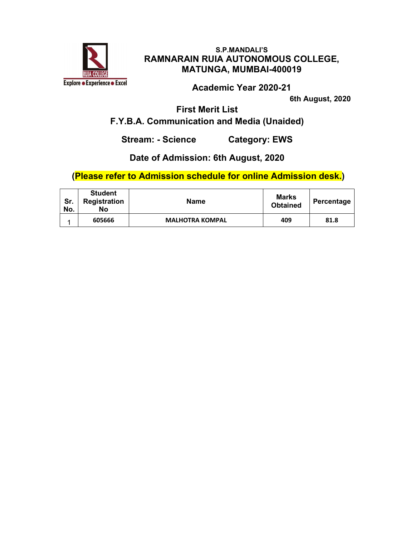

Academic Year 2020-21

6th August, 2020

First Merit List

# F.Y.B.A. Communication and Media (Unaided)

Stream: - Science Category: EWS

## Date of Admission: 6th August, 2020

| Sr.<br>No. | <b>Student</b><br>Registration<br>No | Name                   | <b>Marks</b><br><b>Obtained</b> | Percentage |
|------------|--------------------------------------|------------------------|---------------------------------|------------|
|            | 605666                               | <b>MALHOTRA KOMPAL</b> | 409                             | 81.8       |